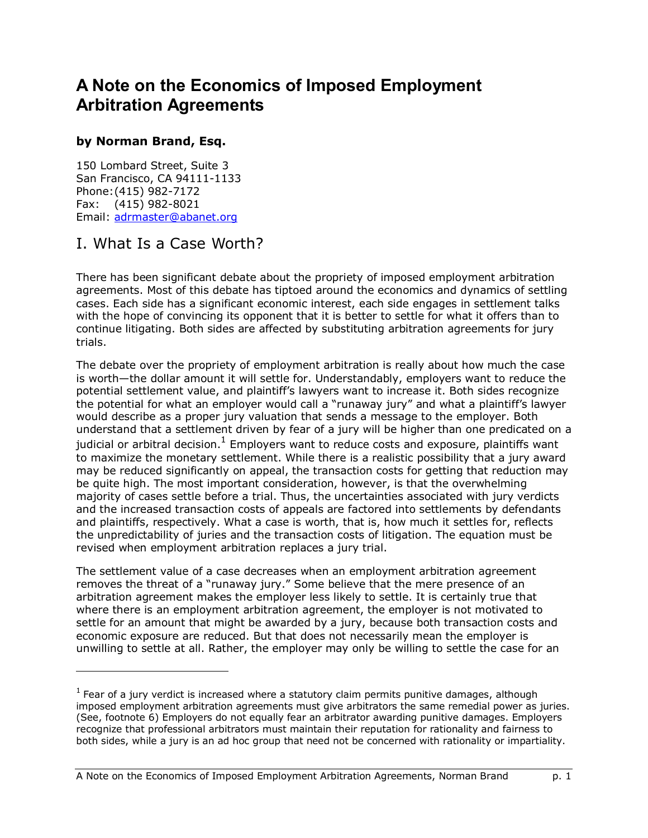## **A Note on the Economics of Imposed Employment Arbitration Agreements**

## **by Norman Brand, Esq.**

150 Lombard Street, Suite 3 San Francisco, CA 94111-1133 Phone: (415) 982-7172 Fax: (415) 982-8021 Email: adrmaster@abanet.org

## I. What Is a Case Worth?

-

There has been significant debate about the propriety of imposed employment arbitration agreements. Most of this debate has tiptoed around the economics and dynamics of settling cases. Each side has a significant economic interest, each side engages in settlement talks with the hope of convincing its opponent that it is better to settle for what it offers than to continue litigating. Both sides are affected by substituting arbitration agreements for jury trials.

The debate over the propriety of employment arbitration is really about how much the case is worth–the dollar amount it will settle for. Understandably, employers want to reduce the potential settlement value, and plaintiffís lawyers want to increase it. Both sides recognize the potential for what an employer would call a "runaway jury" and what a plaintiff's lawyer would describe as a proper jury valuation that sends a message to the employer. Both understand that a settlement driven by fear of a jury will be higher than one predicated on a judicial or arbitral decision.<sup>1</sup> Employers want to reduce costs and exposure, plaintiffs want to maximize the monetary settlement. While there is a realistic possibility that a jury award may be reduced significantly on appeal, the transaction costs for getting that reduction may be quite high. The most important consideration, however, is that the overwhelming majority of cases settle before a trial. Thus, the uncertainties associated with jury verdicts and the increased transaction costs of appeals are factored into settlements by defendants and plaintiffs, respectively. What a case is worth, that is, how much it settles for, reflects the unpredictability of juries and the transaction costs of litigation. The equation must be revised when employment arbitration replaces a jury trial.

The settlement value of a case decreases when an employment arbitration agreement removes the threat of a "runaway jury." Some believe that the mere presence of an arbitration agreement makes the employer less likely to settle. It is certainly true that where there is an employment arbitration agreement, the employer is not motivated to settle for an amount that might be awarded by a jury, because both transaction costs and economic exposure are reduced. But that does not necessarily mean the employer is unwilling to settle at all. Rather, the employer may only be willing to settle the case for an

 $<sup>1</sup>$  Fear of a jury verdict is increased where a statutory claim permits punitive damages, although</sup> imposed employment arbitration agreements must give arbitrators the same remedial power as juries. (See, footnote 6) Employers do not equally fear an arbitrator awarding punitive damages. Employers recognize that professional arbitrators must maintain their reputation for rationality and fairness to both sides, while a jury is an ad hoc group that need not be concerned with rationality or impartiality.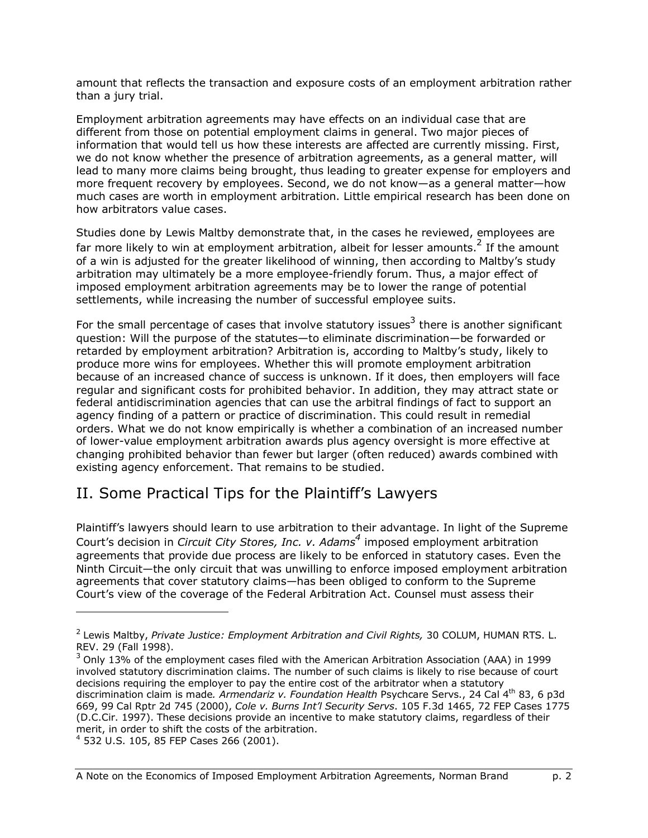amount that reflects the transaction and exposure costs of an employment arbitration rather than a jury trial.

Employment arbitration agreements may have effects on an individual case that are different from those on potential employment claims in general. Two major pieces of information that would tell us how these interests are affected are currently missing. First, we do not know whether the presence of arbitration agreements, as a general matter, will lead to many more claims being brought, thus leading to greater expense for employers and more frequent recovery by employees. Second, we do not know—as a general matter—how much cases are worth in employment arbitration. Little empirical research has been done on how arbitrators value cases.

Studies done by Lewis Maltby demonstrate that, in the cases he reviewed, employees are far more likely to win at employment arbitration, albeit for lesser amounts.<sup>2</sup> If the amount of a win is adjusted for the greater likelihood of winning, then according to Maltby's study arbitration may ultimately be a more employee-friendly forum. Thus, a major effect of imposed employment arbitration agreements may be to lower the range of potential settlements, while increasing the number of successful employee suits.

For the small percentage of cases that involve statutory issues<sup>3</sup> there is another significant question: Will the purpose of the statutes-to eliminate discrimination-be forwarded or retarded by employment arbitration? Arbitration is, according to Maltby's study, likely to produce more wins for employees. Whether this will promote employment arbitration because of an increased chance of success is unknown. If it does, then employers will face regular and significant costs for prohibited behavior. In addition, they may attract state or federal antidiscrimination agencies that can use the arbitral findings of fact to support an agency finding of a pattern or practice of discrimination. This could result in remedial orders. What we do not know empirically is whether a combination of an increased number of lower-value employment arbitration awards plus agency oversight is more effective at changing prohibited behavior than fewer but larger (often reduced) awards combined with existing agency enforcement. That remains to be studied.

## II. Some Practical Tips for the Plaintiff's Lawyers

Plaintiffís lawyers should learn to use arbitration to their advantage. In light of the Supreme Court's decision in *Circuit City Stores, Inc. v. Adams*<sup>4</sup> imposed employment arbitration agreements that provide due process are likely to be enforced in statutory cases. Even the Ninth Circuit—the only circuit that was unwilling to enforce imposed employment arbitration agreements that cover statutory claims-has been obliged to conform to the Supreme Court's view of the coverage of the Federal Arbitration Act. Counsel must assess their

-

<sup>2</sup> Lewis Maltby, *Private Justice: Employment Arbitration and Civil Rights,* 30 COLUM, HUMAN RTS. L. REV. 29 (Fall 1998).

 $3$  Only 13% of the employment cases filed with the American Arbitration Association (AAA) in 1999 involved statutory discrimination claims. The number of such claims is likely to rise because of court decisions requiring the employer to pay the entire cost of the arbitrator when a statutory discrimination claim is made*. Armendariz v. Foundation Health* Psychcare Servs., 24 Cal 4th 83, 6 p3d 669, 99 Cal Rptr 2d 745 (2000), *Cole v. Burns Intíl Security Servs*. 105 F.3d 1465, 72 FEP Cases 1775 (D.C.Cir. 1997). These decisions provide an incentive to make statutory claims, regardless of their merit, in order to shift the costs of the arbitration.

<sup>4</sup> 532 U.S. 105, 85 FEP Cases 266 (2001).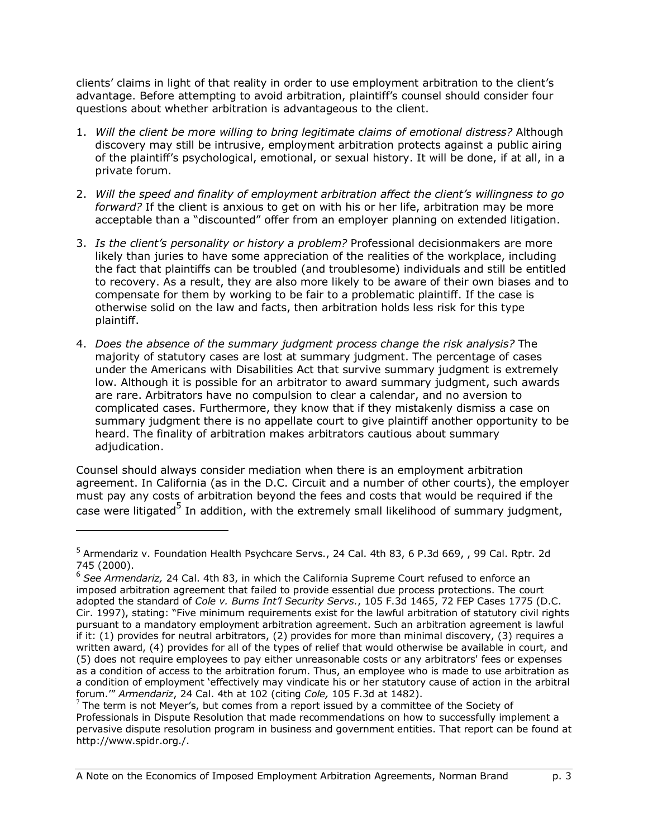clients' claims in light of that reality in order to use employment arbitration to the client's advantage. Before attempting to avoid arbitration, plaintiffís counsel should consider four questions about whether arbitration is advantageous to the client.

- 1. *Will the client be more willing to bring legitimate claims of emotional distress?* Although discovery may still be intrusive, employment arbitration protects against a public airing of the plaintiffís psychological, emotional, or sexual history. It will be done, if at all, in a private forum.
- 2. *Will the speed and finality of employment arbitration affect the clientís willingness to go forward?* If the client is anxious to get on with his or her life, arbitration may be more acceptable than a "discounted" offer from an employer planning on extended litigation.
- 3. *Is the clientís personality or history a problem?* Professional decisionmakers are more likely than juries to have some appreciation of the realities of the workplace, including the fact that plaintiffs can be troubled (and troublesome) individuals and still be entitled to recovery. As a result, they are also more likely to be aware of their own biases and to compensate for them by working to be fair to a problematic plaintiff. If the case is otherwise solid on the law and facts, then arbitration holds less risk for this type plaintiff.
- 4. *Does the absence of the summary judgment process change the risk analysis?* The majority of statutory cases are lost at summary judgment. The percentage of cases under the Americans with Disabilities Act that survive summary judgment is extremely low. Although it is possible for an arbitrator to award summary judgment, such awards are rare. Arbitrators have no compulsion to clear a calendar, and no aversion to complicated cases. Furthermore, they know that if they mistakenly dismiss a case on summary judgment there is no appellate court to give plaintiff another opportunity to be heard. The finality of arbitration makes arbitrators cautious about summary adjudication.

Counsel should always consider mediation when there is an employment arbitration agreement. In California (as in the D.C. Circuit and a number of other courts), the employer must pay any costs of arbitration beyond the fees and costs that would be required if the case were litigated<sup>5</sup> In addition, with the extremely small likelihood of summary judgment,

<sup>&</sup>lt;sup>5</sup> Armendariz v. Foundation Health Psychcare Servs., 24 Cal. 4th 83, 6 P.3d 669, , 99 Cal. Rptr. 2d 745 (2000).

<sup>6</sup> *See Armendariz,* 24 Cal. 4th 83, in which the California Supreme Court refused to enforce an imposed arbitration agreement that failed to provide essential due process protections. The court adopted the standard of *Cole v. Burns Intíl Security Servs.*, 105 F.3d 1465, 72 FEP Cases 1775 (D.C. Cir. 1997), stating: "Five minimum requirements exist for the lawful arbitration of statutory civil rights pursuant to a mandatory employment arbitration agreement. Such an arbitration agreement is lawful if it: (1) provides for neutral arbitrators, (2) provides for more than minimal discovery, (3) requires a written award, (4) provides for all of the types of relief that would otherwise be available in court, and (5) does not require employees to pay either unreasonable costs or any arbitrators' fees or expenses as a condition of access to the arbitration forum. Thus, an employee who is made to use arbitration as a condition of employment 'effectively may vindicate his or her statutory cause of action in the arbitral forum." Armendariz, 24 Cal. 4th at 102 (citing Cole, 105 F.3d at 1482).

<sup>&</sup>lt;sup>7</sup> The term is not Meyer's, but comes from a report issued by a committee of the Society of Professionals in Dispute Resolution that made recommendations on how to successfully implement a pervasive dispute resolution program in business and government entities. That report can be found at http://www.spidr.org./.